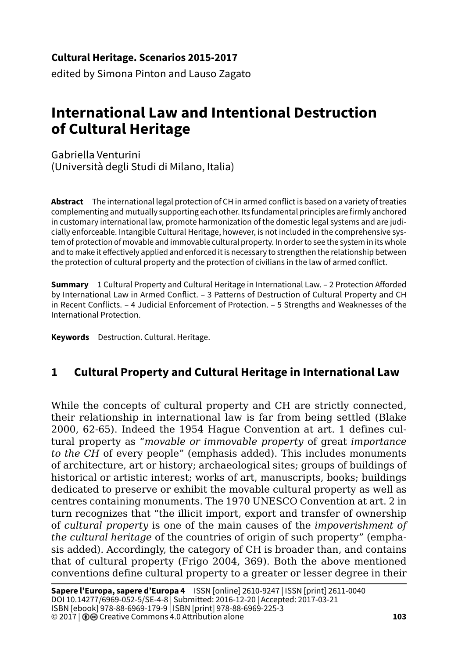#### **Cultural Heritage. Scenarios 2015-2017**

edited by Simona Pinton and Lauso Zagato

# **International Law and Intentional Destruction of Cultural Heritage**

Gabriella Venturini (Università degli Studi di Milano, Italia)

**Abstract** The international legal protection of CH in armed conflict is based on a variety of treaties complementing and mutually supporting each other. Its fundamental principles are firmly anchored in customary international law, promote harmonization of the domestic legal systems and are judicially enforceable. Intangible Cultural Heritage, however, is not included in the comprehensive system of protection of movable and immovable cultural property. In order to see the system in its whole and to make it effectively applied and enforced it is necessary to strengthen the relationship between the protection of cultural property and the protection of civilians in the law of armed conflict.

**Summary** 1 Cultural Property and Cultural Heritage in International Law. – 2 Protection Afforded by International Law in Armed Conflict. – 3 Patterns of Destruction of Cultural Property and CH in Recent Conflicts. – 4 Judicial Enforcement of Protection. – 5 Strengths and Weaknesses of the International Protection.

**Keywords** Destruction. Cultural. Heritage.

# **1 Cultural Property and Cultural Heritage in International Law**

While the concepts of cultural property and CH are strictly connected, their relationship in international law is far from being settled (Blake 2000, 62-65). Indeed the 1954 Hague Convention at art. 1 defines cultural property as "*movable or immovable property* of great *importance to the CH* of every people" (emphasis added). This includes monuments of architecture, art or history; archaeological sites; groups of buildings of historical or artistic interest; works of art, manuscripts, books; buildings dedicated to preserve or exhibit the movable cultural property as well as centres containing monuments. The 1970 UNESCO Convention at art. 2 in turn recognizes that "the illicit import, export and transfer of ownership of *cultural property* is one of the main causes of the *impoverishment of the cultural heritage* of the countries of origin of such property" (emphasis added). Accordingly, the category of CH is broader than, and contains that of cultural property (Frigo 2004, 369). Both the above mentioned conventions define cultural property to a greater or lesser degree in their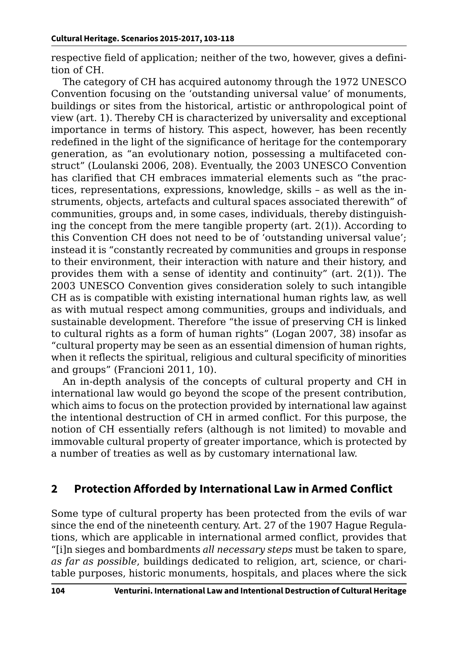respective field of application; neither of the two, however, gives a definition of CH.

The category of CH has acquired autonomy through the 1972 UNESCO Convention focusing on the 'outstanding universal value' of monuments, buildings or sites from the historical, artistic or anthropological point of view (art. 1). Thereby CH is characterized by universality and exceptional importance in terms of history. This aspect, however, has been recently redefined in the light of the significance of heritage for the contemporary generation, as "an evolutionary notion, possessing a multifaceted construct" (Loulanski 2006, 208). Eventually, the 2003 UNESCO Convention has clarified that CH embraces immaterial elements such as "the practices, representations, expressions, knowledge, skills – as well as the instruments, objects, artefacts and cultural spaces associated therewith" of communities, groups and, in some cases, individuals, thereby distinguishing the concept from the mere tangible property (art. 2(1)). According to this Convention CH does not need to be of 'outstanding universal value'; instead it is "constantly recreated by communities and groups in response to their environment, their interaction with nature and their history, and provides them with a sense of identity and continuity" (art. 2(1)). The 2003 UNESCO Convention gives consideration solely to such intangible CH as is compatible with existing international human rights law, as well as with mutual respect among communities, groups and individuals, and sustainable development. Therefore "the issue of preserving CH is linked to cultural rights as a form of human rights" (Logan 2007, 38) insofar as "cultural property may be seen as an essential dimension of human rights, when it reflects the spiritual, religious and cultural specificity of minorities and groups" (Francioni 2011, 10).

An in-depth analysis of the concepts of cultural property and CH in international law would go beyond the scope of the present contribution, which aims to focus on the protection provided by international law against the intentional destruction of CH in armed conflict. For this purpose, the notion of CH essentially refers (although is not limited) to movable and immovable cultural property of greater importance, which is protected by a number of treaties as well as by customary international law.

#### **2 Protection Afforded by International Law in Armed Conflict**

Some type of cultural property has been protected from the evils of war since the end of the nineteenth century. Art. 27 of the 1907 Hague Regulations, which are applicable in international armed conflict, provides that "[i]n sieges and bombardments *all necessary steps* must be taken to spare, *as far as possible*, buildings dedicated to religion, art, science, or charitable purposes, historic monuments, hospitals, and places where the sick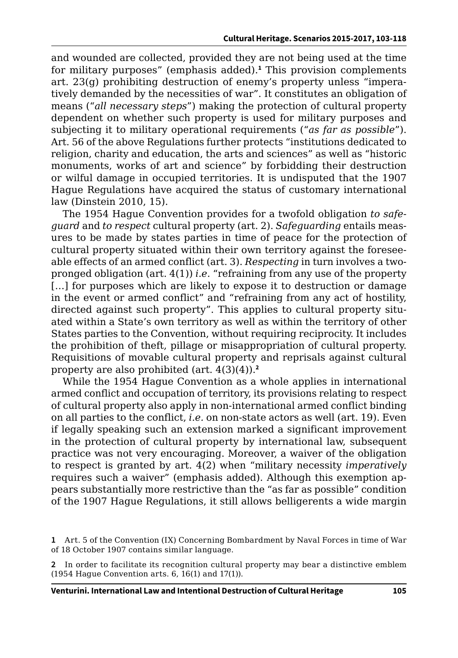and wounded are collected, provided they are not being used at the time for military purposes" (emphasis added).**<sup>1</sup>** This provision complements art. 23(g) prohibiting destruction of enemy's property unless "imperatively demanded by the necessities of war". It constitutes an obligation of means ("*all necessary steps*") making the protection of cultural property dependent on whether such property is used for military purposes and subjecting it to military operational requirements ("*as far as possible*"). Art. 56 of the above Regulations further protects "institutions dedicated to religion, charity and education, the arts and sciences" as well as "historic monuments, works of art and science" by forbidding their destruction or wilful damage in occupied territories. It is undisputed that the 1907 Hague Regulations have acquired the status of customary international law (Dinstein 2010, 15).

The 1954 Hague Convention provides for a twofold obligation *to safeguard* and *to respect* cultural property (art. 2). *Safeguarding* entails measures to be made by states parties in time of peace for the protection of cultural property situated within their own territory against the foreseeable effects of an armed conflict (art. 3). *Respecting* in turn involves a twopronged obligation (art. 4(1)) *i*.*e*. "refraining from any use of the property [...] for purposes which are likely to expose it to destruction or damage in the event or armed conflict" and "refraining from any act of hostility, directed against such property". This applies to cultural property situated within a State's own territory as well as within the territory of other States parties to the Convention, without requiring reciprocity. It includes the prohibition of theft, pillage or misappropriation of cultural property. Requisitions of movable cultural property and reprisals against cultural property are also prohibited (art. 4(3)(4)).**<sup>2</sup>**

While the 1954 Hague Convention as a whole applies in international armed conflict and occupation of territory, its provisions relating to respect of cultural property also apply in non-international armed conflict binding on all parties to the conflict, *i.e.* on non-state actors as well (art. 19). Even if legally speaking such an extension marked a significant improvement in the protection of cultural property by international law, subsequent practice was not very encouraging. Moreover, a waiver of the obligation to respect is granted by art. 4(2) when "military necessity *imperatively* requires such a waiver" (emphasis added). Although this exemption appears substantially more restrictive than the "as far as possible" condition of the 1907 Hague Regulations, it still allows belligerents a wide margin

**<sup>1</sup>** Art. 5 of the Convention (IX) Concerning Bombardment by Naval Forces in time of War of 18 October 1907 contains similar language.

**<sup>2</sup>** In order to facilitate its recognition cultural property may bear a distinctive emblem (1954 Hague Convention arts. 6, 16(1) and 17(1)).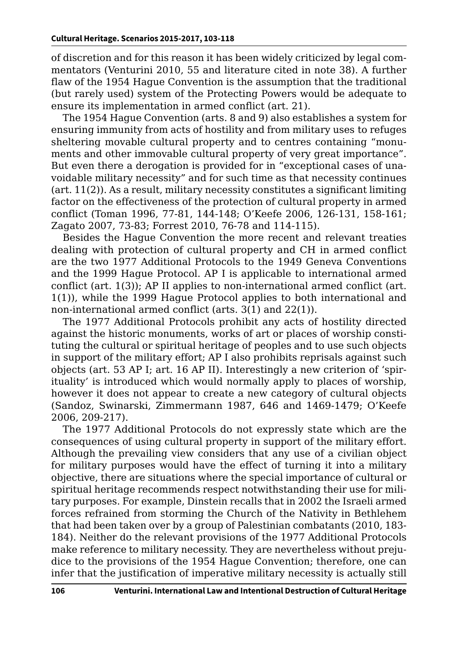of discretion and for this reason it has been widely criticized by legal commentators (Venturini 2010, 55 and literature cited in note 38). A further flaw of the 1954 Hague Convention is the assumption that the traditional (but rarely used) system of the Protecting Powers would be adequate to ensure its implementation in armed conflict (art. 21).

The 1954 Hague Convention (arts. 8 and 9) also establishes a system for ensuring immunity from acts of hostility and from military uses to refuges sheltering movable cultural property and to centres containing "monuments and other immovable cultural property of very great importance". But even there a derogation is provided for in "exceptional cases of unavoidable military necessity" and for such time as that necessity continues  $(\text{art. } 11(2))$ . As a result, military necessity constitutes a significant limiting factor on the effectiveness of the protection of cultural property in armed conflict (Toman 1996, 77-81, 144-148; O'Keefe 2006, 126-131, 158-161; Zagato 2007, 73-83; Forrest 2010, 76-78 and 114-115).

Besides the Hague Convention the more recent and relevant treaties dealing with protection of cultural property and CH in armed conflict are the two 1977 Additional Protocols to the 1949 Geneva Conventions and the 1999 Hague Protocol. AP I is applicable to international armed conflict (art. 1(3)); AP II applies to non-international armed conflict (art. 1(1)), while the 1999 Hague Protocol applies to both international and non-international armed conflict (arts. 3(1) and 22(1)).

The 1977 Additional Protocols prohibit any acts of hostility directed against the historic monuments, works of art or places of worship constituting the cultural or spiritual heritage of peoples and to use such objects in support of the military effort; AP I also prohibits reprisals against such objects (art. 53 AP I; art. 16 AP II). Interestingly a new criterion of 'spirituality' is introduced which would normally apply to places of worship, however it does not appear to create a new category of cultural objects (Sandoz, Swinarski, Zimmermann 1987, 646 and 1469-1479; O'Keefe 2006, 209-217).

The 1977 Additional Protocols do not expressly state which are the consequences of using cultural property in support of the military effort. Although the prevailing view considers that any use of a civilian object for military purposes would have the effect of turning it into a military objective, there are situations where the special importance of cultural or spiritual heritage recommends respect notwithstanding their use for military purposes. For example, Dinstein recalls that in 2002 the Israeli armed forces refrained from storming the Church of the Nativity in Bethlehem that had been taken over by a group of Palestinian combatants (2010, 183- 184). Neither do the relevant provisions of the 1977 Additional Protocols make reference to military necessity. They are nevertheless without prejudice to the provisions of the 1954 Hague Convention; therefore, one can infer that the justification of imperative military necessity is actually still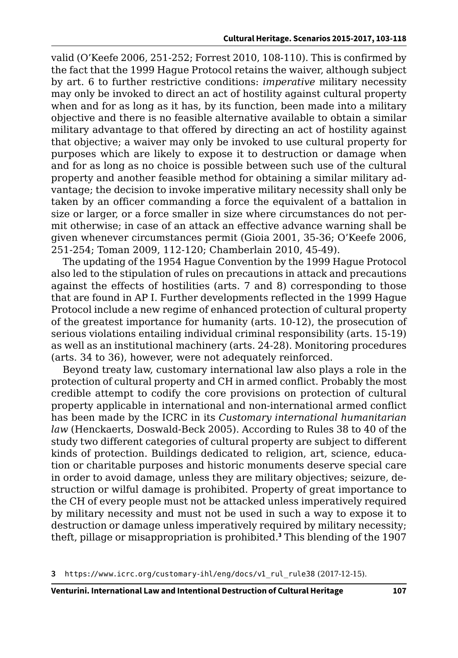valid (O'Keefe 2006, 251-252; Forrest 2010, 108-110). This is confirmed by the fact that the 1999 Hague Protocol retains the waiver, although subject by art. 6 to further restrictive conditions: *imperative* military necessity may only be invoked to direct an act of hostility against cultural property when and for as long as it has, by its function, been made into a military objective and there is no feasible alternative available to obtain a similar military advantage to that offered by directing an act of hostility against that objective; a waiver may only be invoked to use cultural property for purposes which are likely to expose it to destruction or damage when and for as long as no choice is possible between such use of the cultural property and another feasible method for obtaining a similar military advantage; the decision to invoke imperative military necessity shall only be taken by an officer commanding a force the equivalent of a battalion in size or larger, or a force smaller in size where circumstances do not permit otherwise; in case of an attack an effective advance warning shall be given whenever circumstances permit (Gioia 2001, 35-36; O'Keefe 2006, 251-254; Toman 2009, 112-120; Chamberlain 2010, 45-49).

The updating of the 1954 Hague Convention by the 1999 Hague Protocol also led to the stipulation of rules on precautions in attack and precautions against the effects of hostilities (arts. 7 and 8) corresponding to those that are found in AP I. Further developments reflected in the 1999 Hague Protocol include a new regime of enhanced protection of cultural property of the greatest importance for humanity (arts. 10-12), the prosecution of serious violations entailing individual criminal responsibility (arts. 15-19) as well as an institutional machinery (arts. 24-28). Monitoring procedures (arts. 34 to 36), however, were not adequately reinforced.

Beyond treaty law, customary international law also plays a role in the protection of cultural property and CH in armed conflict. Probably the most credible attempt to codify the core provisions on protection of cultural property applicable in international and non-international armed conflict has been made by the ICRC in its *Customary international humanitarian law* (Henckaerts, Doswald*-*Beck 2005). According to Rules 38 to 40 of the study two different categories of cultural property are subject to different kinds of protection. Buildings dedicated to religion, art, science, education or charitable purposes and historic monuments deserve special care in order to avoid damage, unless they are military objectives; seizure, destruction or wilful damage is prohibited. Property of great importance to the CH of every people must not be attacked unless imperatively required by military necessity and must not be used in such a way to expose it to destruction or damage unless imperatively required by military necessity; theft, pillage or misappropriation is prohibited.**<sup>3</sup>** This blending of the 1907

**<sup>3</sup>** [https://www.icrc.org/customary-ihl/eng/docs/v1\\_rul\\_rule38](https://www.icrc.org/customary-ihl/eng/docs/v1_rul_rule38) (2017-12-15).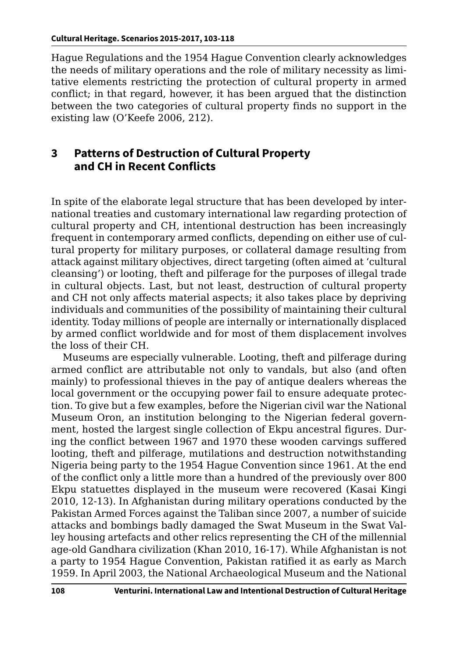Hague Regulations and the 1954 Hague Convention clearly acknowledges the needs of military operations and the role of military necessity as limitative elements restricting the protection of cultural property in armed conflict; in that regard, however, it has been argued that the distinction between the two categories of cultural property finds no support in the existing law (O'Keefe 2006, 212).

### **3 Patterns of Destruction of Cultural Property and CH in Recent Conflicts**

In spite of the elaborate legal structure that has been developed by international treaties and customary international law regarding protection of cultural property and CH, intentional destruction has been increasingly frequent in contemporary armed conflicts, depending on either use of cultural property for military purposes, or collateral damage resulting from attack against military objectives, direct targeting (often aimed at 'cultural cleansing') or looting, theft and pilferage for the purposes of illegal trade in cultural objects. Last, but not least, destruction of cultural property and CH not only affects material aspects; it also takes place by depriving individuals and communities of the possibility of maintaining their cultural identity. Today millions of people are internally or internationally displaced by armed conflict worldwide and for most of them displacement involves the loss of their CH.

Museums are especially vulnerable. Looting, theft and pilferage during armed conflict are attributable not only to vandals, but also (and often mainly) to professional thieves in the pay of antique dealers whereas the local government or the occupying power fail to ensure adequate protection. To give but a few examples, before the Nigerian civil war the National Museum Oron, an institution belonging to the Nigerian federal government, hosted the largest single collection of Ekpu ancestral figures. During the conflict between 1967 and 1970 these wooden carvings suffered looting, theft and pilferage, mutilations and destruction notwithstanding Nigeria being party to the 1954 Hague Convention since 1961. At the end of the conflict only a little more than a hundred of the previously over 800 Ekpu statuettes displayed in the museum were recovered (Kasai Kingi 2010, 12-13). In Afghanistan during military operations conducted by the Pakistan Armed Forces against the Taliban since 2007, a number of suicide attacks and bombings badly damaged the Swat Museum in the Swat Valley housing artefacts and other relics representing the CH of the millennial age-old Gandhara civilization (Khan 2010, 16-17). While Afghanistan is not a party to 1954 Hague Convention, Pakistan ratified it as early as March 1959. In April 2003, the National Archaeological Museum and the National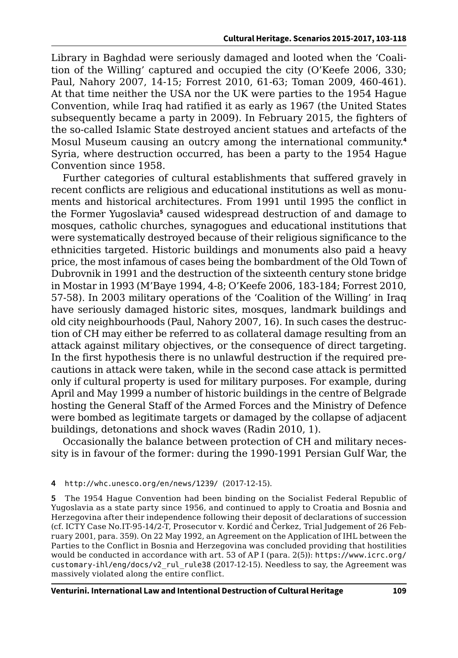Library in Baghdad were seriously damaged and looted when the 'Coalition of the Willing' captured and occupied the city (O'Keefe 2006, 330; Paul, Nahory 2007, 14-15; Forrest 2010, 61-63; Toman 2009, 460-461). At that time neither the USA nor the UK were parties to the 1954 Hague Convention, while Iraq had ratified it as early as 1967 (the United States subsequently became a party in 2009). In February 2015, the fighters of the so-called Islamic State destroyed ancient statues and artefacts of the Mosul Museum causing an outcry among the international community.**<sup>4</sup>** Syria, where destruction occurred, has been a party to the 1954 Hague Convention since 1958.

Further categories of cultural establishments that suffered gravely in recent conflicts are religious and educational institutions as well as monuments and historical architectures. From 1991 until 1995 the conflict in the Former Yugoslavia**<sup>5</sup>** caused widespread destruction of and damage to mosques, catholic churches, synagogues and educational institutions that were systematically destroyed because of their religious significance to the ethnicities targeted. Historic buildings and monuments also paid a heavy price, the most infamous of cases being the bombardment of the Old Town of Dubrovnik in 1991 and the destruction of the sixteenth century stone bridge in Mostar in 1993 (M'Baye 1994, 4-8; O'Keefe 2006, 183-184; Forrest 2010, 57-58). In 2003 military operations of the 'Coalition of the Willing' in Iraq have seriously damaged historic sites, mosques, landmark buildings and old city neighbourhoods (Paul, Nahory 2007, 16). In such cases the destruction of CH may either be referred to as collateral damage resulting from an attack against military objectives, or the consequence of direct targeting. In the first hypothesis there is no unlawful destruction if the required precautions in attack were taken, while in the second case attack is permitted only if cultural property is used for military purposes. For example, during April and May 1999 a number of historic buildings in the centre of Belgrade hosting the General Staff of the Armed Forces and the Ministry of Defence were bombed as legitimate targets or damaged by the collapse of adjacent buildings, detonations and shock waves (Radin 2010, 1).

Occasionally the balance between protection of CH and military necessity is in favour of the former: during the 1990-1991 Persian Gulf War, the

#### **4** [http://whc.unesco.org/en/news/1239/](http://whc.unesco.org/en/news/1239/ ) (2017-12-15).

**5** The 1954 Hague Convention had been binding on the Socialist Federal Republic of Yugoslavia as a state party since 1956, and continued to apply to Croatia and Bosnia and Herzegovina after their independence following their deposit of declarations of succession (cf. ICTY Case No.IT-95-14/2-T, Prosecutor v. Kordić and Čerkez, Trial Judgement of 26 February 2001, para. 359). On 22 May 1992, an Agreement on the Application of IHL between the Parties to the Conflict in Bosnia and Herzegovina was concluded providing that hostilities would be conducted in accordance with art. 53 of AP I (para. 2(5)): [https://www.icrc.org/]( https://www.icrc.org/customary-ihl/eng/docs/v2_rul_rule38) [customary-ihl/eng/docs/v2\\_rul\\_rule38]( https://www.icrc.org/customary-ihl/eng/docs/v2_rul_rule38) (2017-12-15). Needless to say, the Agreement was massively violated along the entire conflict.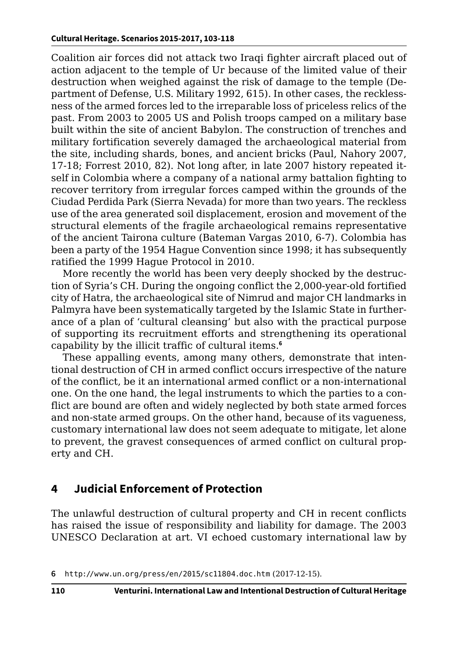Coalition air forces did not attack two Iraqi fighter aircraft placed out of action adjacent to the temple of Ur because of the limited value of their destruction when weighed against the risk of damage to the temple (Department of Defense, U.S. Military 1992, 615). In other cases, the recklessness of the armed forces led to the irreparable loss of priceless relics of the past. From 2003 to 2005 US and Polish troops camped on a military base built within the site of ancient Babylon. The construction of trenches and military fortification severely damaged the archaeological material from the site, including shards, bones, and ancient bricks (Paul, Nahory 2007, 17-18; Forrest 2010, 82). Not long after, in late 2007 history repeated itself in Colombia where a company of a national army battalion fighting to recover territory from irregular forces camped within the grounds of the Ciudad Perdida Park (Sierra Nevada) for more than two years. The reckless use of the area generated soil displacement, erosion and movement of the structural elements of the fragile archaeological remains representative of the ancient Tairona culture (Bateman Vargas 2010, 6-7). Colombia has been a party of the 1954 Hague Convention since 1998; it has subsequently ratified the 1999 Hague Protocol in 2010.

More recently the world has been very deeply shocked by the destruction of Syria's CH. During the ongoing conflict the 2,000-year-old fortified city of Hatra, the archaeological site of Nimrud and major CH landmarks in Palmyra have been systematically targeted by the Islamic State in furtherance of a plan of 'cultural cleansing' but also with the practical purpose of supporting its recruitment efforts and strengthening its operational capability by the illicit traffic of cultural items.**<sup>6</sup>**

These appalling events, among many others, demonstrate that intentional destruction of CH in armed conflict occurs irrespective of the nature of the conflict, be it an international armed conflict or a non-international one. On the one hand, the legal instruments to which the parties to a conflict are bound are often and widely neglected by both state armed forces and non-state armed groups. On the other hand, because of its vagueness, customary international law does not seem adequate to mitigate, let alone to prevent, the gravest consequences of armed conflict on cultural property and CH.

# **4 Judicial Enforcement of Protection**

The unlawful destruction of cultural property and CH in recent conflicts has raised the issue of responsibility and liability for damage. The 2003 UNESCO Declaration at art. VI echoed customary international law by

**<sup>6</sup>** <http://www.un.org/press/en/2015/sc11804.doc.htm> (2017-12-15).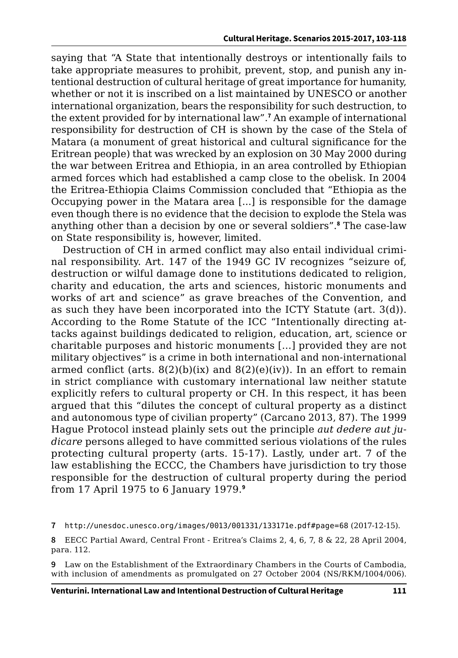saying that "A State that intentionally destroys or intentionally fails to take appropriate measures to prohibit, prevent, stop, and punish any intentional destruction of cultural heritage of great importance for humanity, whether or not it is inscribed on a list maintained by UNESCO or another international organization, bears the responsibility for such destruction, to the extent provided for by international law".<sup>7</sup> An example of international responsibility for destruction of CH is shown by the case of the Stela of Matara (a monument of great historical and cultural significance for the Eritrean people) that was wrecked by an explosion on 30 May 2000 during the war between Eritrea and Ethiopia, in an area controlled by Ethiopian armed forces which had established a camp close to the obelisk. In 2004 the Eritrea-Ethiopia Claims Commission concluded that "Ethiopia as the Occupying power in the Matara area [...] is responsible for the damage even though there is no evidence that the decision to explode the Stela was anything other than a decision by one or several soldiers".**<sup>8</sup>** The case-law on State responsibility is, however, limited.

Destruction of CH in armed conflict may also entail individual criminal responsibility. Art. 147 of the 1949 GC IV recognizes "seizure of, destruction or wilful damage done to institutions dedicated to religion, charity and education, the arts and sciences, historic monuments and works of art and science" as grave breaches of the Convention, and as such they have been incorporated into the ICTY Statute (art. 3(d)). According to the Rome Statute of the ICC "Intentionally directing attacks against buildings dedicated to religion, education, art, science or charitable purposes and historic monuments […] provided they are not military objectives" is a crime in both international and non-international armed conflict (arts.  $8(2)(b)(ix)$  and  $8(2)(e)(iv)$ ). In an effort to remain in strict compliance with customary international law neither statute explicitly refers to cultural property or CH. In this respect, it has been argued that this "dilutes the concept of cultural property as a distinct and autonomous type of civilian property" (Carcano 2013, 87). The 1999 Hague Protocol instead plainly sets out the principle *aut dedere aut judicare* persons alleged to have committed serious violations of the rules protecting cultural property (arts. 15-17). Lastly, under art. 7 of the law establishing the ECCC, the Chambers have jurisdiction to try those responsible for the destruction of cultural property during the period from 17 April 1975 to 6 January 1979.**<sup>9</sup>**

**<sup>7</sup>** <http://unesdoc.unesco.org/images/0013/001331/133171e.pdf#page=68> (2017-12-15).

**<sup>8</sup>** EECC Partial Award, Central Front - Eritrea's Claims 2, 4, 6, 7, 8 & 22, 28 April 2004, para. 112.

**<sup>9</sup>** Law on the Establishment of the Extraordinary Chambers in the Courts of Cambodia, with inclusion of amendments as promulgated on 27 October 2004 (NS/RKM/1004/006).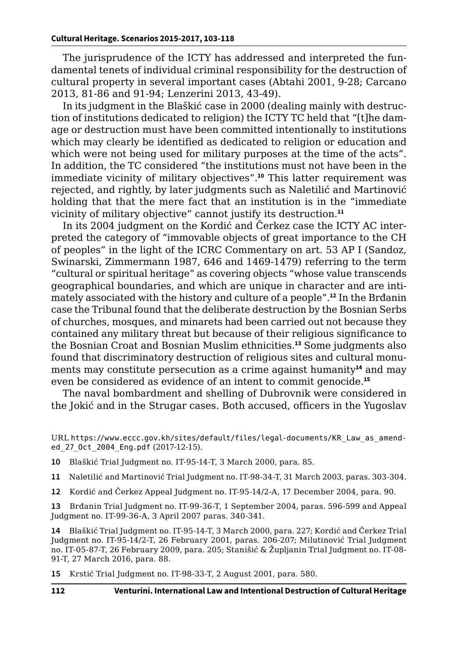The jurisprudence of the ICTY has addressed and interpreted the fundamental tenets of individual criminal responsibility for the destruction of cultural property in several important cases (Abtahi 2001, 9-28; Carcano 2013, 81-86 and 91-94; Lenzerini 2013, 43-49).

In its judgment in the Blaškić case in 2000 (dealing mainly with destruction of institutions dedicated to religion) the ICTY TC held that "[t]he damage or destruction must have been committed intentionally to institutions which may clearly be identified as dedicated to religion or education and which were not being used for military purposes at the time of the acts". In addition, the TC considered "the institutions must not have been in the immediate vicinity of military objectives".**<sup>10</sup>** This latter requirement was rejected, and rightly, by later judgments such as Naletilić and Martinović holding that that the mere fact that an institution is in the "immediate vicinity of military objective" cannot justify its destruction.**<sup>11</sup>**

In its 2004 judgment on the Kordić and Čerkez case the ICTY AC interpreted the category of "immovable objects of great importance to the CH of peoples" in the light of the ICRC Commentary on art. 53 AP I (Sandoz, Swinarski, Zimmermann 1987, 646 and 1469-1479) referring to the term "cultural or spiritual heritage" as covering objects "whose value transcends geographical boundaries, and which are unique in character and are intimately associated with the history and culture of a people".**<sup>12</sup>** In the Brđanin case the Tribunal found that the deliberate destruction by the Bosnian Serbs of churches, mosques, and minarets had been carried out not because they contained any military threat but because of their religious significance to the Bosnian Croat and Bosnian Muslim ethnicities.**<sup>13</sup>** Some judgments also found that discriminatory destruction of religious sites and cultural monuments may constitute persecution as a crime against humanity**<sup>14</sup>** and may even be considered as evidence of an intent to commit genocide.**<sup>15</sup>**

The naval bombardment and shelling of Dubrovnik were considered in the Jokić and in the Strugar cases. Both accused, officers in the Yugoslav

- **10** Blaškić Trial Judgment no. IT-95-14-T, 3 March 2000, para. 85.
- **11** Naletilić and Martinović Trial Judgment no. IT-98-34-T, 31 March 2003, paras. 303-304.
- **12** Kordić and Čerkez Appeal Judgment no. IT-95-14/2-A, 17 December 2004, para. 90.

**13** Brđanin Trial Judgment no. IT-99-36-T, 1 September 2004, paras. 596-599 and Appeal Judgment no. IT-99-36-A, 3 April 2007 paras. 340-341.

**14** Blaškić Trial Judgment no. IT-95-14-T, 3 March 2000, para. 227; Kordić and Čerkez Trial Judgment no. IT-95-14/2-T, 26 February 2001, paras. 206-207; Milutinović Trial Judgment no. IT-05-87-T, 26 February 2009, para. 205; Stanišić & Župljanin Trial Judgment no. IT-08- 91-T, 27 March 2016, para. 88.

**15** Krstić Trial Judgment no. IT-98-33-T, 2 August 2001, para. 580.

URL [https://www.eccc.gov.kh/sites/default/files/legal-documents/KR\\_Law\\_as\\_amend](https://www.eccc.gov.kh/sites/default/files/legal-documents/KR_Law_as_amended_27_Oct_2004_Eng.pdf )[ed\\_27\\_Oct\\_2004\\_Eng.pdf](https://www.eccc.gov.kh/sites/default/files/legal-documents/KR_Law_as_amended_27_Oct_2004_Eng.pdf ) (2017-12-15).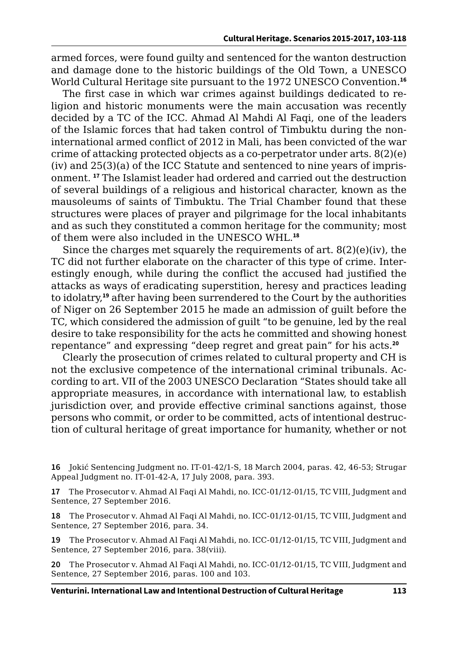armed forces, were found guilty and sentenced for the wanton destruction and damage done to the historic buildings of the Old Town, a UNESCO World Cultural Heritage site pursuant to the 1972 UNESCO Convention.**<sup>16</sup>**

The first case in which war crimes against buildings dedicated to religion and historic monuments were the main accusation was recently decided by a TC of the ICC. Ahmad Al Mahdi Al Faqi, one of the leaders of the Islamic forces that had taken control of Timbuktu during the noninternational armed conflict of 2012 in Mali, has been convicted of the war crime of attacking protected objects as a co-perpetrator under arts. 8(2)(e) (iv) and 25(3)(a) of the ICC Statute and sentenced to nine years of imprisonment. **<sup>17</sup>** The Islamist leader had ordered and carried out the destruction of several buildings of a religious and historical character, known as the mausoleums of saints of Timbuktu. The Trial Chamber found that these structures were places of prayer and pilgrimage for the local inhabitants and as such they constituted a common heritage for the community; most of them were also included in the UNESCO WHL.**<sup>18</sup>**

Since the charges met squarely the requirements of art. 8(2)(e)(iv), the TC did not further elaborate on the character of this type of crime. Interestingly enough, while during the conflict the accused had justified the attacks as ways of eradicating superstition, heresy and practices leading to idolatry,**<sup>19</sup>** after having been surrendered to the Court by the authorities of Niger on 26 September 2015 he made an admission of guilt before the TC, which considered the admission of guilt "to be genuine, led by the real desire to take responsibility for the acts he committed and showing honest repentance" and expressing "deep regret and great pain" for his acts.**<sup>20</sup>**

Clearly the prosecution of crimes related to cultural property and CH is not the exclusive competence of the international criminal tribunals. According to art. VII of the 2003 UNESCO Declaration "States should take all appropriate measures, in accordance with international law, to establish jurisdiction over, and provide effective criminal sanctions against, those persons who commit, or order to be committed, acts of intentional destruction of cultural heritage of great importance for humanity, whether or not

**17** The Prosecutor v. Ahmad Al Faqi Al Mahdi, no. ICC-01/12-01/15, TC VIII, Judgment and Sentence, 27 September 2016.

**18** The Prosecutor v. Ahmad Al Faqi Al Mahdi, no. ICC-01/12-01/15, TC VIII, Judgment and Sentence, 27 September 2016, para. 34.

**19** The Prosecutor v. Ahmad Al Faqi Al Mahdi, no. ICC-01/12-01/15, TC VIII, Judgment and Sentence, 27 September 2016, para. 38(viii).

**20** The Prosecutor v. Ahmad Al Faqi Al Mahdi, no. ICC-01/12-01/15, TC VIII, Judgment and Sentence, 27 September 2016, paras. 100 and 103.

**<sup>16</sup>** Jokić Sentencing Judgment no. IT-01-42/1-S, 18 March 2004, paras. 42, 46-53; Strugar Appeal Judgment no. IT-01-42-A, 17 July 2008, para. 393.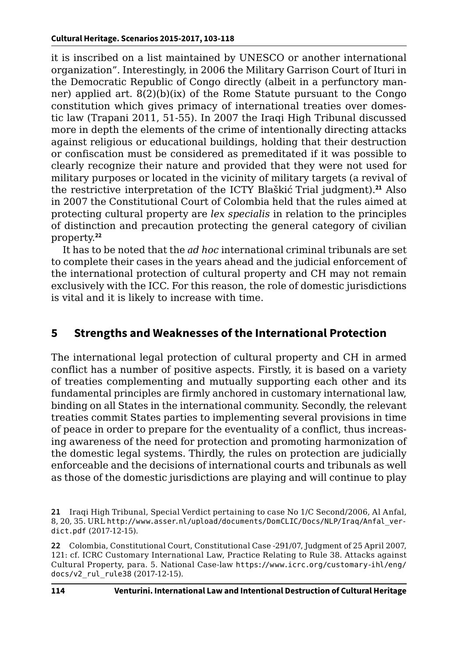it is inscribed on a list maintained by UNESCO or another international organization". Interestingly, in 2006 the Military Garrison Court of Ituri in the Democratic Republic of Congo directly (albeit in a perfunctory manner) applied art.  $8(2)(b)(ix)$  of the Rome Statute pursuant to the Congo constitution which gives primacy of international treaties over domestic law (Trapani 2011, 51-55). In 2007 the Iraqi High Tribunal discussed more in depth the elements of the crime of intentionally directing attacks against religious or educational buildings, holding that their destruction or confiscation must be considered as premeditated if it was possible to clearly recognize their nature and provided that they were not used for military purposes or located in the vicinity of military targets (a revival of the restrictive interpretation of the ICTY Blaškić Trial judgment).**<sup>21</sup>** Also in 2007 the Constitutional Court of Colombia held that the rules aimed at protecting cultural property are *lex specialis* in relation to the principles of distinction and precaution protecting the general category of civilian property.**<sup>22</sup>**

It has to be noted that the *ad hoc* international criminal tribunals are set to complete their cases in the years ahead and the judicial enforcement of the international protection of cultural property and CH may not remain exclusively with the ICC. For this reason, the role of domestic jurisdictions is vital and it is likely to increase with time.

#### **5 Strengths and Weaknesses of the International Protection**

The international legal protection of cultural property and CH in armed conflict has a number of positive aspects. Firstly, it is based on a variety of treaties complementing and mutually supporting each other and its fundamental principles are firmly anchored in customary international law, binding on all States in the international community. Secondly, the relevant treaties commit States parties to implementing several provisions in time of peace in order to prepare for the eventuality of a conflict, thus increasing awareness of the need for protection and promoting harmonization of the domestic legal systems. Thirdly, the rules on protection are judicially enforceable and the decisions of international courts and tribunals as well as those of the domestic jurisdictions are playing and will continue to play

**<sup>21</sup>** Iraqi High Tribunal, Special Verdict pertaining to case No 1/C Second/2006, Al Anfal, 8, 20, 35. URL [http://www.asser.nl/upload/documents/DomCLIC/Docs/NLP/Iraq/Anfal\\_ver](http://www.asser.nl/upload/documents/DomCLIC/Docs/NLP/Iraq/Anfal_verdict.pdf)[dict.pdf](http://www.asser.nl/upload/documents/DomCLIC/Docs/NLP/Iraq/Anfal_verdict.pdf) (2017-12-15).

**<sup>22</sup>** Colombia, Constitutional Court, Constitutional Case -291/07, Judgment of 25 April 2007, 121: cf. ICRC Customary International Law, Practice Relating to Rule 38. Attacks against Cultural Property, para. 5. National Case-law [https://www.icrc.org/customary-ihl/eng/](https://www.icrc.org/customary-ihl/eng/docs/v2_rul_rule38) [docs/v2\\_rul\\_rule38](https://www.icrc.org/customary-ihl/eng/docs/v2_rul_rule38) (2017-12-15).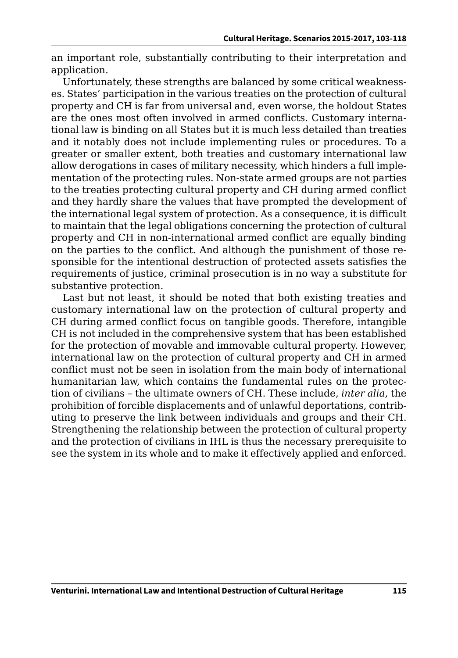an important role, substantially contributing to their interpretation and application.

Unfortunately, these strengths are balanced by some critical weaknesses. States' participation in the various treaties on the protection of cultural property and CH is far from universal and, even worse, the holdout States are the ones most often involved in armed conflicts. Customary international law is binding on all States but it is much less detailed than treaties and it notably does not include implementing rules or procedures. To a greater or smaller extent, both treaties and customary international law allow derogations in cases of military necessity, which hinders a full implementation of the protecting rules. Non-state armed groups are not parties to the treaties protecting cultural property and CH during armed conflict and they hardly share the values that have prompted the development of the international legal system of protection. As a consequence, it is difficult to maintain that the legal obligations concerning the protection of cultural property and CH in non-international armed conflict are equally binding on the parties to the conflict. And although the punishment of those responsible for the intentional destruction of protected assets satisfies the requirements of justice, criminal prosecution is in no way a substitute for substantive protection.

Last but not least, it should be noted that both existing treaties and customary international law on the protection of cultural property and CH during armed conflict focus on tangible goods. Therefore, intangible CH is not included in the comprehensive system that has been established for the protection of movable and immovable cultural property. However, international law on the protection of cultural property and CH in armed conflict must not be seen in isolation from the main body of international humanitarian law, which contains the fundamental rules on the protection of civilians – the ultimate owners of CH. These include, *inter alia*, the prohibition of forcible displacements and of unlawful deportations, contributing to preserve the link between individuals and groups and their CH. Strengthening the relationship between the protection of cultural property and the protection of civilians in IHL is thus the necessary prerequisite to see the system in its whole and to make it effectively applied and enforced.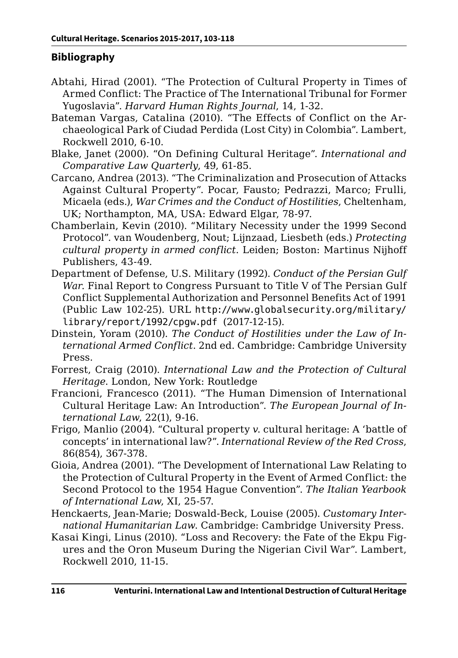#### **Bibliography**

- Abtahi, Hirad (2001). "The Protection of Cultural Property in Times of Armed Conflict: The Practice of The International Tribunal for Former Yugoslavia". *Harvard Human Rights Journal*, 14, 1-32.
- Bateman Vargas, Catalina (2010). "The Effects of Conflict on the Archaeological Park of Ciudad Perdida (Lost City) in Colombia". Lambert, Rockwell 2010, 6-10.
- Blake, Janet (2000). "On Defining Cultural Heritage". *International and Comparative Law Quarterly*, 49, 61-85.
- Carcano, Andrea (2013). "The Criminalization and Prosecution of Attacks Against Cultural Property". Pocar, Fausto; Pedrazzi, Marco; Frulli, Micaela (eds.), *War Crimes and the Conduct of Hostilities*, Cheltenham, UK; Northampton, MA, USA: Edward Elgar, 78-97.
- Chamberlain, Kevin (2010). "Military Necessity under the 1999 Second Protocol". van Woudenberg, Nout; Lijnzaad, Liesbeth (eds.) *Protecting cultural property in armed conflict*. Leiden; Boston: Martinus Nijhoff Publishers, 43-49.
- Department of Defense, U.S. Military (1992). *Conduct of the Persian Gulf War*. Final Report to Congress Pursuant to Title V of The Persian Gulf Conflict Supplemental Authorization and Personnel Benefits Act of 1991 (Public Law 102-25). URL [http://www.globalsecurity.org/military/](http://www.globalsecurity.org/military/library/report/1992/cpgw.pdf ) [library/report/1992/cpgw.pdf](http://www.globalsecurity.org/military/library/report/1992/cpgw.pdf ) (2017-12-15).
- Dinstein, Yoram (2010). *The Conduct of Hostilities under the Law of International Armed Conflict*. 2nd ed. Cambridge: Cambridge University Press.
- Forrest, Craig (2010). *International Law and the Protection of Cultural Heritage*. London, New York: Routledge
- Francioni, Francesco (2011). "The Human Dimension of International Cultural Heritage Law: An Introduction". *The European Journal of International Law*, 22(1), 9-16.
- Frigo, Manlio (2004). "Cultural property *v*. cultural heritage: A 'battle of concepts' in international law?". *International Review of the Red Cross*, 86(854), 367-378.
- Gioia, Andrea (2001). "The Development of International Law Relating to the Protection of Cultural Property in the Event of Armed Conflict: the Second Protocol to the 1954 Hague Convention". *The Italian Yearbook of International Law*, XI, 25-57.
- Henckaerts, Jean-Marie; Doswald*-*Beck, Louise (2005). *Customary International Humanitarian Law*. Cambridge: Cambridge University Press.
- Kasai Kingi, Linus (2010). "Loss and Recovery: the Fate of the Ekpu Figures and the Oron Museum During the Nigerian Civil War". Lambert, Rockwell 2010, 11-15.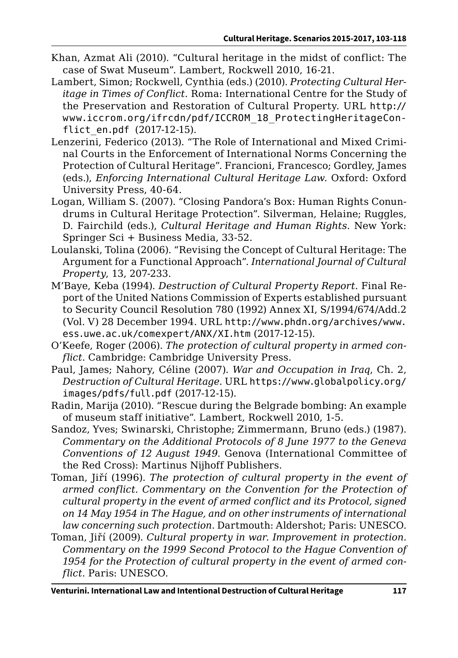- Khan, Azmat Ali (2010). "Cultural heritage in the midst of conflict: The case of Swat Museum". Lambert, Rockwell 2010, 16-21.
- Lambert, Simon; Rockwell, Cynthia (eds.) (2010). *Protecting Cultural Heritage in Times of Conflict*. Roma: International Centre for the Study of the Preservation and Restoration of Cultural Property. URL [http://](http://www.iccrom.org/ifrcdn/pdf/ICCROM_18_ProtectingHeritageConflict_en.pdf ) [www.iccrom.org/ifrcdn/pdf/ICCROM\\_18\\_ProtectingHeritageCon](http://www.iccrom.org/ifrcdn/pdf/ICCROM_18_ProtectingHeritageConflict_en.pdf )[flict\\_en.pdf](http://www.iccrom.org/ifrcdn/pdf/ICCROM_18_ProtectingHeritageConflict_en.pdf ) (2017-12-15).
- Lenzerini, Federico (2013). "The Role of International and Mixed Criminal Courts in the Enforcement of International Norms Concerning the Protection of Cultural Heritage". Francioni, Francesco; Gordley, James (eds.), *Enforcing International Cultural Heritage Law*. Oxford: Oxford University Press, 40-64.
- Logan, William S. (2007). "Closing Pandora's Box: Human Rights Conundrums in Cultural Heritage Protection". Silverman, Helaine; Ruggles, D. Fairchild (eds.), *Cultural Heritage and Human Rights*. New York: Springer Sci + Business Media, 33-52.
- Loulanski, Tolina (2006). "Revising the Concept of Cultural Heritage: The Argument for a Functional Approach". *International Journal of Cultural Property*, 13, 207-233.
- M'Baye, Keba (1994). *Destruction of Cultural Property Report*. Final Report of the United Nations Commission of Experts established pursuant to Security Council Resolution 780 (1992) Annex XI, S/1994/674/Add.2 (Vol. V) 28 December 1994. URL [http://www.phdn.org/archives/www.](http://www.phdn.org/archives/www.ess.uwe.ac.uk/comexpert/ANX/XI.htm) [ess.uwe.ac.uk/comexpert/ANX/XI.htm](http://www.phdn.org/archives/www.ess.uwe.ac.uk/comexpert/ANX/XI.htm) (2017-12-15).
- O'Keefe, Roger (2006). *The protection of cultural property in armed conflict*. Cambridge: Cambridge University Press.
- Paul, James; Nahory, Céline (2007). *War and Occupation in Iraq*, Ch. 2, *Destruction of Cultural Heritage*. URL [https://www.globalpolicy.org/](https://www.globalpolicy.org/images/pdfs/full.pdf) [images/pdfs/full.pdf](https://www.globalpolicy.org/images/pdfs/full.pdf) (2017-12-15).
- Radin, Marija (2010). "Rescue during the Belgrade bombing: An example of museum staff initiative". Lambert, Rockwell 2010, 1-5.
- Sandoz, Yves; Swinarski, Christophe; Zimmermann, Bruno (eds.) (1987). *Commentary on the Additional Protocols of 8 June 1977 to the Geneva Conventions of 12 August 1949*. Genova (International Committee of the Red Cross): Martinus Nijhoff Publishers.
- Toman, Jiří (1996). *The protection of cultural property in the event of armed conflict. Commentary on the Convention for the Protection of cultural property in the event of armed conflict and its Protocol, signed on 14 May 1954 in The Hague, and on other instruments of international law concerning such protection*. Dartmouth: Aldershot; Paris: UNESCO.
- Toman, Jiří (2009). *Cultural property in war. Improvement in protection. Commentary on the 1999 Second Protocol to the Hague Convention of 1954 for the Protection of cultural property in the event of armed conflict*. Paris: UNESCO.